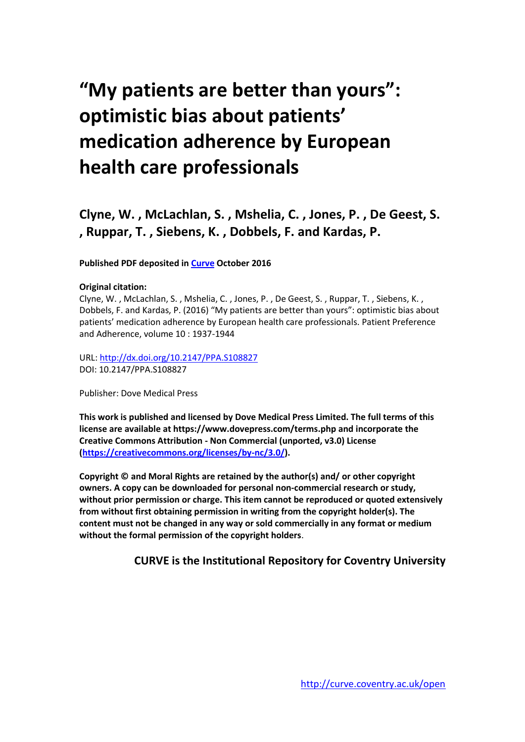# **"My patients are better than yours": optimistic bias about patients' medication adherence by European health care professionals**

**Clyne, W. , McLachlan, S. , Mshelia, C. , Jones, P. , De Geest, S. , Ruppar, T. , Siebens, K. , Dobbels, F. and Kardas, P.**

**Published PDF deposited in [Curve](http://curve.coventry.ac.uk/open) October 2016**

#### **Original citation:**

Clyne, W. , McLachlan, S. , Mshelia, C. , Jones, P. , De Geest, S. , Ruppar, T. , Siebens, K. , Dobbels, F. and Kardas, P. (2016) "My patients are better than yours": optimistic bias about patients' medication adherence by European health care professionals. Patient Preference and Adherence, volume 10 : 1937-1944

URL:<http://dx.doi.org/10.2147/PPA.S108827> DOI: 10.2147/PPA.S108827

Publisher: Dove Medical Press

**This work is published and licensed by Dove Medical Press Limited. The full terms of this license are available at https://www.dovepress.com/terms.php and incorporate the Creative Commons Attribution - Non Commercial (unported, v3.0) License [\(https://creativecommons.org/licenses/by-nc/3.0/\)](https://creativecommons.org/licenses/by-nc/3.0/).**

**Copyright © and Moral Rights are retained by the author(s) and/ or other copyright owners. A copy can be downloaded for personal non-commercial research or study, without prior permission or charge. This item cannot be reproduced or quoted extensively from without first obtaining permission in writing from the copyright holder(s). The content must not be changed in any way or sold commercially in any format or medium without the formal permission of the copyright holders**.

## **CURVE is the Institutional Repository for Coventry University**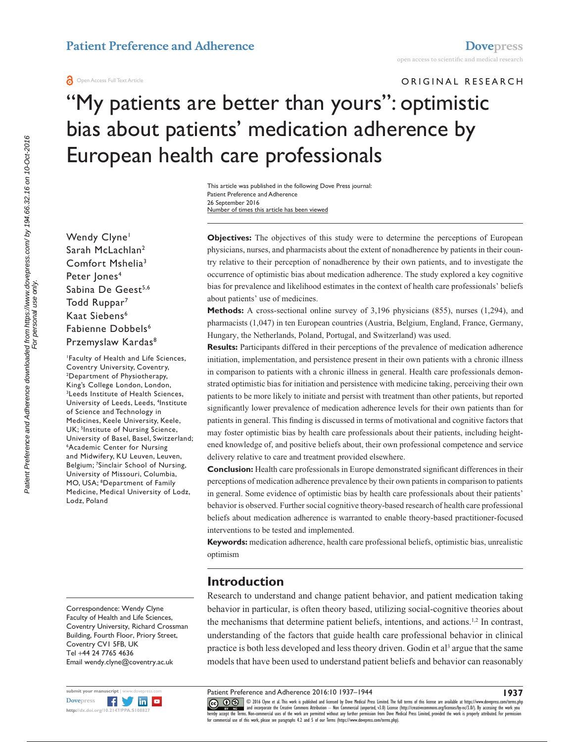#### Open Access Full Text Article

#### ORIGINAL RESEARCH

# "My patients are better than yours": optimistic bias about patients' medication adherence by European health care professionals

Number of times this article has been viewed This article was published in the following Dove Press journal: Patient Preference and Adherence 26 September 2016

Wendy Clyne<sup>1</sup> Sarah McLachlan2 Comfort Mshelia3 Peter Jones<sup>4</sup> Sabina De Geest<sup>5,6</sup> Todd Ruppar<sup>7</sup> Kaat Siebens<sup>6</sup> Fabienne Dobbels<sup>6</sup> Przemyslaw Kardas<sup>8</sup>

1 Faculty of Health and Life Sciences, Coventry University, Coventry, Department of Physiotherapy, King's College London, London, Leeds Institute of Health Sciences, University of Leeds, Leeds, <sup>4</sup>Institute of Science and Technology in Medicines, Keele University, Keele, UK; <sup>5</sup>Institute of Nursing Science, University of Basel, Basel, Switzerland; 6 Academic Center for Nursing and Midwifery, KU Leuven, Leuven, Belgium; 7 Sinclair School of Nursing, University of Missouri, Columbia, MO, USA; 8 Department of Family Medicine, Medical University of Lodz, Lodz, Poland

Correspondence: Wendy Clyne Faculty of Health and Life Sciences, Coventry University, Richard Crossman Building, Fourth Floor, Priory Street, Coventry CV1 5FB, UK Tel +44 24 7765 4636 Email [wendy.clyne@coventry.ac.uk](mailto:wendy.clyne@coventry.ac.uk)



**Objectives:** The objectives of this study were to determine the perceptions of European physicians, nurses, and pharmacists about the extent of nonadherence by patients in their country relative to their perception of nonadherence by their own patients, and to investigate the occurrence of optimistic bias about medication adherence. The study explored a key cognitive bias for prevalence and likelihood estimates in the context of health care professionals' beliefs about patients' use of medicines.

**Methods:** A cross-sectional online survey of 3,196 physicians (855), nurses (1,294), and pharmacists (1,047) in ten European countries (Austria, Belgium, England, France, Germany, Hungary, the Netherlands, Poland, Portugal, and Switzerland) was used.

**Results:** Participants differed in their perceptions of the prevalence of medication adherence initiation, implementation, and persistence present in their own patients with a chronic illness in comparison to patients with a chronic illness in general. Health care professionals demonstrated optimistic bias for initiation and persistence with medicine taking, perceiving their own patients to be more likely to initiate and persist with treatment than other patients, but reported significantly lower prevalence of medication adherence levels for their own patients than for patients in general. This finding is discussed in terms of motivational and cognitive factors that may foster optimistic bias by health care professionals about their patients, including heightened knowledge of, and positive beliefs about, their own professional competence and service delivery relative to care and treatment provided elsewhere.

**Conclusion:** Health care professionals in Europe demonstrated significant differences in their perceptions of medication adherence prevalence by their own patients in comparison to patients in general. Some evidence of optimistic bias by health care professionals about their patients' behavior is observed. Further social cognitive theory-based research of health care professional beliefs about medication adherence is warranted to enable theory-based practitioner-focused interventions to be tested and implemented.

**Keywords:** medication adherence, health care professional beliefs, optimistic bias, unrealistic optimism

# **Introduction**

Research to understand and change patient behavior, and patient medication taking behavior in particular, is often theory based, utilizing social-cognitive theories about the mechanisms that determine patient beliefs, intentions, and actions.<sup>1,2</sup> In contrast, understanding of the factors that guide health care professional behavior in clinical practice is both less developed and less theory driven. Godin et al<sup>3</sup> argue that the same models that have been used to understand patient beliefs and behavior can reasonably

Patient Preference and Adherence 2016:10 1937–1944

**1937**

CCC 1 © 2016 Clyne et al. This work is published and licensed by Dove Medical Press Limited. The full terms of this license are available at <https://www.dovepress.com/terms.php><br>[hereby accept the Terms](http://www.dovepress.com/permissions.php). Non-commercial uses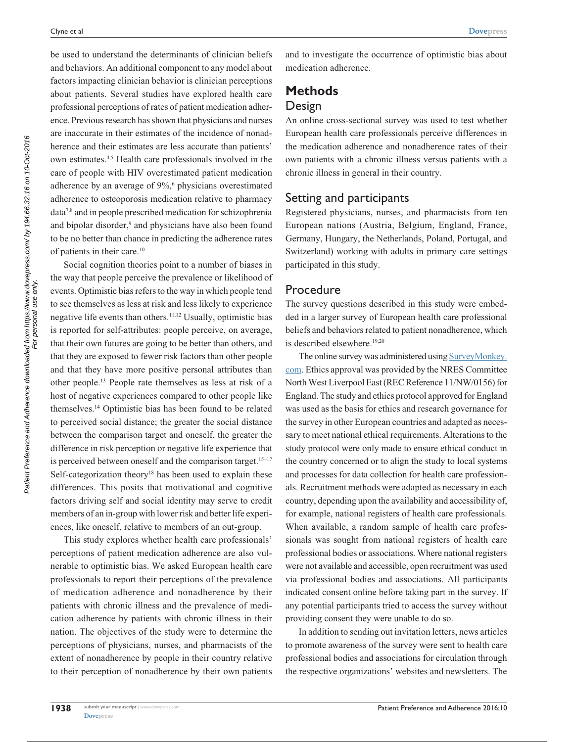be used to understand the determinants of clinician beliefs and behaviors. An additional component to any model about factors impacting clinician behavior is clinician perceptions about patients. Several studies have explored health care professional perceptions of rates of patient medication adherence. Previous research has shown that physicians and nurses are inaccurate in their estimates of the incidence of nonadherence and their estimates are less accurate than patients' own estimates.4,5 Health care professionals involved in the care of people with HIV overestimated patient medication adherence by an average of 9%,<sup>6</sup> physicians overestimated adherence to osteoporosis medication relative to pharmacy data7,8 and in people prescribed medication for schizophrenia and bipolar disorder,<sup>9</sup> and physicians have also been found to be no better than chance in predicting the adherence rates of patients in their care.10

Social cognition theories point to a number of biases in the way that people perceive the prevalence or likelihood of events. Optimistic bias refers to the way in which people tend to see themselves as less at risk and less likely to experience negative life events than others.<sup>11,12</sup> Usually, optimistic bias is reported for self-attributes: people perceive, on average, that their own futures are going to be better than others, and that they are exposed to fewer risk factors than other people and that they have more positive personal attributes than other people.13 People rate themselves as less at risk of a host of negative experiences compared to other people like themselves.14 Optimistic bias has been found to be related to perceived social distance; the greater the social distance between the comparison target and oneself, the greater the difference in risk perception or negative life experience that is perceived between oneself and the comparison target.<sup>15-17</sup> Self-categorization theory<sup>18</sup> has been used to explain these differences. This posits that motivational and cognitive factors driving self and social identity may serve to credit members of an in-group with lower risk and better life experiences, like oneself, relative to members of an out-group.

This study explores whether health care professionals' perceptions of patient medication adherence are also vulnerable to optimistic bias. We asked European health care professionals to report their perceptions of the prevalence of medication adherence and nonadherence by their patients with chronic illness and the prevalence of medication adherence by patients with chronic illness in their nation. The objectives of the study were to determine the perceptions of physicians, nurses, and pharmacists of the extent of nonadherence by people in their country relative to their perception of nonadherence by their own patients

**[Dovepress](www.dovepress.com)** 

**1938**

and to investigate the occurrence of optimistic bias about medication adherence.

# **Methods**

# Design

An online cross-sectional survey was used to test whether European health care professionals perceive differences in the medication adherence and nonadherence rates of their own patients with a chronic illness versus patients with a chronic illness in general in their country.

## Setting and participants

Registered physicians, nurses, and pharmacists from ten European nations (Austria, Belgium, England, France, Germany, Hungary, the Netherlands, Poland, Portugal, and Switzerland) working with adults in primary care settings participated in this study.

# Procedure

The survey questions described in this study were embedded in a larger survey of European health care professional beliefs and behaviors related to patient nonadherence, which is described elsewhere.<sup>19,20</sup>

The online survey was administered using [SurveyMonkey.](http://www.SurveyMonkey.com) [com.](http://www.SurveyMonkey.com) Ethics approval was provided by the NRES Committee North West Liverpool East (REC Reference 11/NW/0156) for England. The study and ethics protocol approved for England was used as the basis for ethics and research governance for the survey in other European countries and adapted as necessary to meet national ethical requirements. Alterations to the study protocol were only made to ensure ethical conduct in the country concerned or to align the study to local systems and processes for data collection for health care professionals. Recruitment methods were adapted as necessary in each country, depending upon the availability and accessibility of, for example, national registers of health care professionals. When available, a random sample of health care professionals was sought from national registers of health care professional bodies or associations. Where national registers were not available and accessible, open recruitment was used via professional bodies and associations. All participants indicated consent online before taking part in the survey. If any potential participants tried to access the survey without providing consent they were unable to do so.

In addition to sending out invitation letters, news articles to promote awareness of the survey were sent to health care professional bodies and associations for circulation through the respective organizations' websites and newsletters. The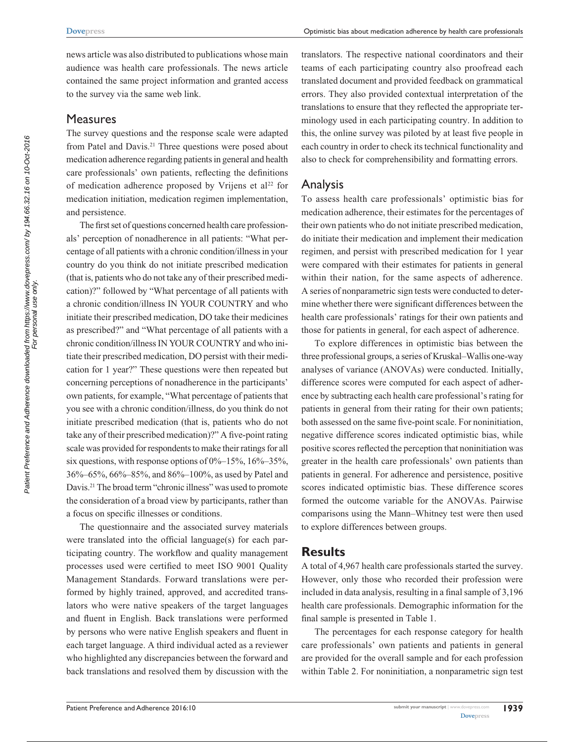news article was also distributed to publications whose main audience was health care professionals. The news article contained the same project information and granted access to the survey via the same web link.

## **Measures**

The survey questions and the response scale were adapted from Patel and Davis.<sup>21</sup> Three questions were posed about medication adherence regarding patients in general and health care professionals' own patients, reflecting the definitions of medication adherence proposed by Vrijens et al<sup>22</sup> for medication initiation, medication regimen implementation, and persistence.

The first set of questions concerned health care professionals' perception of nonadherence in all patients: "What percentage of all patients with a chronic condition/illness in your country do you think do not initiate prescribed medication (that is, patients who do not take any of their prescribed medication)?" followed by "What percentage of all patients with a chronic condition/illness IN YOUR COUNTRY and who initiate their prescribed medication, DO take their medicines as prescribed?" and "What percentage of all patients with a chronic condition/illness IN YOUR COUNTRY and who initiate their prescribed medication, DO persist with their medication for 1 year?" These questions were then repeated but concerning perceptions of nonadherence in the participants' own patients, for example, "What percentage of patients that you see with a chronic condition/illness, do you think do not initiate prescribed medication (that is, patients who do not take any of their prescribed medication)?" A five-point rating scale was provided for respondents to make their ratings for all six questions, with response options of  $0\%$ –15%, 16%–35%, 36%–65%, 66%–85%, and 86%–100%, as used by Patel and Davis.21 The broad term "chronic illness" was used to promote the consideration of a broad view by participants, rather than a focus on specific illnesses or conditions.

The questionnaire and the associated survey materials were translated into the official language(s) for each participating country. The workflow and quality management processes used were certified to meet ISO 9001 Quality Management Standards. Forward translations were performed by highly trained, approved, and accredited translators who were native speakers of the target languages and fluent in English. Back translations were performed by persons who were native English speakers and fluent in each target language. A third individual acted as a reviewer who highlighted any discrepancies between the forward and back translations and resolved them by discussion with the

translators. The respective national coordinators and their teams of each participating country also proofread each translated document and provided feedback on grammatical errors. They also provided contextual interpretation of the translations to ensure that they reflected the appropriate terminology used in each participating country. In addition to this, the online survey was piloted by at least five people in each country in order to check its technical functionality and also to check for comprehensibility and formatting errors.

#### Analysis

To assess health care professionals' optimistic bias for medication adherence, their estimates for the percentages of their own patients who do not initiate prescribed medication, do initiate their medication and implement their medication regimen, and persist with prescribed medication for 1 year were compared with their estimates for patients in general within their nation, for the same aspects of adherence. A series of nonparametric sign tests were conducted to determine whether there were significant differences between the health care professionals' ratings for their own patients and those for patients in general, for each aspect of adherence.

To explore differences in optimistic bias between the three professional groups, a series of Kruskal–Wallis one-way analyses of variance (ANOVAs) were conducted. Initially, difference scores were computed for each aspect of adherence by subtracting each health care professional's rating for patients in general from their rating for their own patients; both assessed on the same five-point scale. For noninitiation, negative difference scores indicated optimistic bias, while positive scores reflected the perception that noninitiation was greater in the health care professionals' own patients than patients in general. For adherence and persistence, positive scores indicated optimistic bias. These difference scores formed the outcome variable for the ANOVAs. Pairwise comparisons using the Mann–Whitney test were then used to explore differences between groups.

### **Results**

A total of 4,967 health care professionals started the survey. However, only those who recorded their profession were included in data analysis, resulting in a final sample of 3,196 health care professionals. Demographic information for the final sample is presented in Table 1.

The percentages for each response category for health care professionals' own patients and patients in general are provided for the overall sample and for each profession within Table 2. For noninitiation, a nonparametric sign test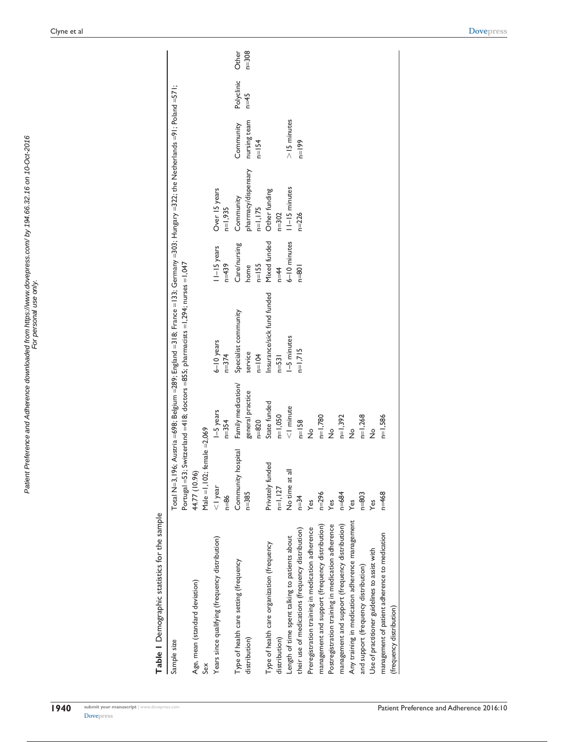Table 1 Demographic statistics for the sample **Table 1** Demographic statistics for the sample

| Judicial Science of the Colombia Science of the Science of the Science of the Science of the Science of the Science of the Science of the Science of the Science of the Science of the Science of the Science of the Science o |                                   |                        |                                                                                                                                                                                                                        |                        |                            |               |            |           |
|--------------------------------------------------------------------------------------------------------------------------------------------------------------------------------------------------------------------------------|-----------------------------------|------------------------|------------------------------------------------------------------------------------------------------------------------------------------------------------------------------------------------------------------------|------------------------|----------------------------|---------------|------------|-----------|
| Sample size                                                                                                                                                                                                                    |                                   |                        | Total N=3,196; Austria =698; Belgium =289; England =318; France =133; Germany =303; Hungary =322; the Netherlands =91; Poland =571;<br>Portugal =53; Switzerland =418; doctors =855; pharmacists =1,294; nurses =1,047 |                        |                            |               |            |           |
| Age, mean (standard deviation)                                                                                                                                                                                                 | 44.77 (10.96)                     |                        |                                                                                                                                                                                                                        |                        |                            |               |            |           |
| Sex                                                                                                                                                                                                                            | Male = $1,102$ ; female = $2,069$ |                        |                                                                                                                                                                                                                        |                        |                            |               |            |           |
| Years since qualifying (frequency distribution)                                                                                                                                                                                | $<$   year<br>$n=86$              | I-5 years<br>$n = 354$ | $6 - 10$ years<br>$n = 374$                                                                                                                                                                                            | II-I5 years<br>$n=439$ | Over 15 years<br>$n=1,935$ |               |            |           |
| Type of health care setting (frequency                                                                                                                                                                                         | Community hospital                | Family medication/     | Specialist community                                                                                                                                                                                                   | Care/nursing           | Community                  | Community     | Polyclinic | Other     |
| distribution)                                                                                                                                                                                                                  | $n = 385$                         | general practice       | service                                                                                                                                                                                                                | home                   | pharmacy/dispensary        | nursing team  | $1 - 45$   | $n = 308$ |
|                                                                                                                                                                                                                                |                                   | $n = 820$              | $n=104$                                                                                                                                                                                                                | $n=155$                | $n=1,175$                  | $n = 154$     |            |           |
| Type of health care organization (frequency                                                                                                                                                                                    | Privately funded                  | State funded           | Insurance/sick fund funded                                                                                                                                                                                             | Mixed funded           | Other funding              |               |            |           |
| distribution)                                                                                                                                                                                                                  | $n=1,127$                         | $n=1,050$              | $n = 531$                                                                                                                                                                                                              | $n=44$                 | $n = 302$                  |               |            |           |
| Length of time spent talking to patients about                                                                                                                                                                                 | No time at all                    | $<$   minute           | $-5$ minutes                                                                                                                                                                                                           | $6 - 10$ minutes       | $11 - 15$ minutes          | $>15$ minutes |            |           |
| their use of medications (frequency distribution)                                                                                                                                                                              | $n = 34$                          | $n=158$                | $n=1,715$                                                                                                                                                                                                              | $n = 801$              | $n = 226$                  | $n = 199$     |            |           |
| Preregistration training in medication adherence                                                                                                                                                                               | Yes                               | $\frac{1}{2}$          |                                                                                                                                                                                                                        |                        |                            |               |            |           |
| management and support (frequency distribution)                                                                                                                                                                                | $n = 296$                         | $n=1,780$              |                                                                                                                                                                                                                        |                        |                            |               |            |           |
| Postregistration training in medication adherence                                                                                                                                                                              | Yes                               | $\frac{1}{2}$          |                                                                                                                                                                                                                        |                        |                            |               |            |           |
| management and support (frequency distribution)                                                                                                                                                                                | $n = 684$                         | $n=1,392$              |                                                                                                                                                                                                                        |                        |                            |               |            |           |
| Any training in medication adherence management                                                                                                                                                                                | Yes                               | $\frac{1}{2}$          |                                                                                                                                                                                                                        |                        |                            |               |            |           |
| and support (frequency distribution)                                                                                                                                                                                           | $n = 803$                         | $n=1,268$              |                                                                                                                                                                                                                        |                        |                            |               |            |           |
| Use of practitioner guidelines to assist with                                                                                                                                                                                  | Yes                               | $\frac{1}{2}$          |                                                                                                                                                                                                                        |                        |                            |               |            |           |
| management of patient adherence to medication                                                                                                                                                                                  | $n=468$                           | $n=1,586$              |                                                                                                                                                                                                                        |                        |                            |               |            |           |
| (frequency distribution)                                                                                                                                                                                                       |                                   |                        |                                                                                                                                                                                                                        |                        |                            |               |            |           |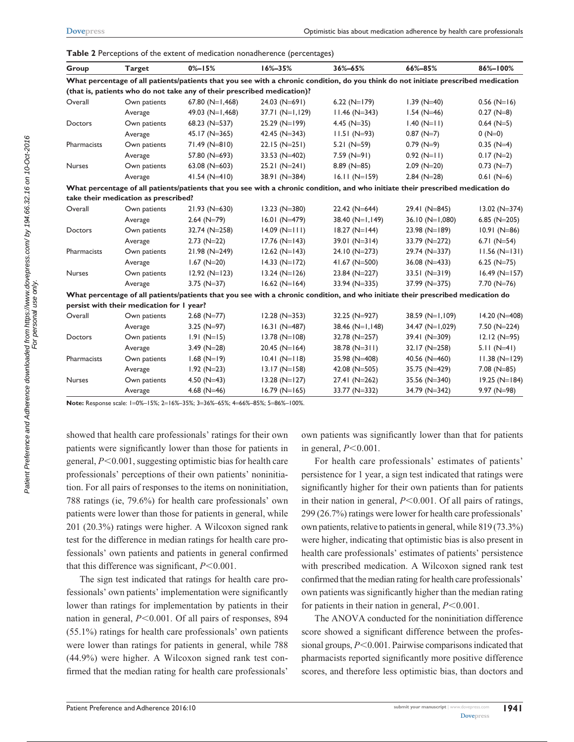| Group         | <b>Target</b>                             | $0% - 15%$                                                              | $16\% - 35\%$    | 36%-65%           | 66%-85%                                                                                                                            | 86%-100%         |
|---------------|-------------------------------------------|-------------------------------------------------------------------------|------------------|-------------------|------------------------------------------------------------------------------------------------------------------------------------|------------------|
|               |                                           |                                                                         |                  |                   | What percentage of all patients/patients that you see with a chronic condition, do you think do not initiate prescribed medication |                  |
|               |                                           | (that is, patients who do not take any of their prescribed medication)? |                  |                   |                                                                                                                                    |                  |
| Overall       | Own patients                              | 67.80 $(N=1,468)$                                                       | $24.03$ (N=691)  | $6.22(N=179)$     | $1.39$ (N=40)                                                                                                                      | $0.56$ (N=16)    |
|               | Average                                   | 49.03 $(N=1,468)$                                                       | $37.71(N=1,129)$ | $11.46$ (N=343)   | $1.54$ (N=46)                                                                                                                      | $0.27$ (N=8)     |
| Doctors       | Own patients                              | 68.23 (N=537)                                                           | $25.29$ (N=199)  | 4.45 ( $N=35$ )   | $1.40 (N=11)$                                                                                                                      | $0.64$ (N=5)     |
|               | Average                                   | $45.17 (N=365)$                                                         | 42.45 $(N=343)$  | $11.51 (N=93)$    | $0.87$ (N=7)                                                                                                                       | $0(N=0)$         |
| Pharmacists   | Own patients                              | $71.49$ (N=810)                                                         | $22.15 (N=251)$  | $5.21(N=59)$      | $0.79$ (N=9)                                                                                                                       | $0.35$ (N=4)     |
|               | Average                                   | 57.80 (N=693)                                                           | 33.53 (N=402)    | $7.59(N=91)$      | $0.92$ (N=11)                                                                                                                      | $0.17$ (N=2)     |
| <b>Nurses</b> | Own patients                              | 63.08 ( $N=603$ )                                                       | $25.21 (N=241)$  | $8.89$ (N=85)     | $2.09(N=20)$                                                                                                                       | $0.73$ (N=7)     |
|               | Average                                   | $41.54 (N=410)$                                                         | 38.91 (N=384)    | $16.11(N=159)$    | $2.84$ (N=28)                                                                                                                      | $0.61$ (N=6)     |
|               |                                           |                                                                         |                  |                   | What percentage of all patients/patients that you see with a chronic condition, and who initiate their prescribed medication do    |                  |
|               | take their medication as prescribed?      |                                                                         |                  |                   |                                                                                                                                    |                  |
| Overall       | Own patients                              | $21.93$ (N=630)                                                         | $13.23 (N=380)$  | $22.42$ (N=644)   | 29.41 (N=845)                                                                                                                      | $13.02 (N=374)$  |
|               | Average                                   | $2.64$ (N=79)                                                           | $16.01 (N=479)$  | $38.40(N=1,149)$  | $36.10$ (N=1,080)                                                                                                                  | 6.85 ( $N=205$ ) |
| Doctors       | Own patients                              | $32.74$ (N=258)                                                         | $14.09 (N=111)$  | $18.27(N=144)$    | $23.98$ (N=189)                                                                                                                    | $10.91(N=86)$    |
|               | Average                                   | $2.73$ (N=22)                                                           | $17.76$ (N=143)  | $39.01(N=314)$    | 33.79 (N=272)                                                                                                                      | 6.71 $(N=54)$    |
| Pharmacists   | Own patients                              | $21.98$ (N=249)                                                         | $12.62 (N=143)$  | 24.10 (N=273)     | 29.74 (N=337)                                                                                                                      | $11.56 (N=131)$  |
|               | Average                                   | $1.67$ (N=20)                                                           | $14.33 (N=172)$  | 41.67 ( $N=500$ ) | $36.08$ (N=433)                                                                                                                    | 6.25 ( $N=75$ )  |
| Nurses        | Own patients                              | $12.92 (N=123)$                                                         | $13.24 (N=126)$  | $23.84$ (N=227)   | $33.51(N=319)$                                                                                                                     | $16.49(N=157)$   |
|               | Average                                   | $3.75$ (N=37)                                                           | $16.62$ (N=164)  | 33.94 (N=335)     | 37.99 (N=375)                                                                                                                      | $7.70$ (N=76)    |
|               |                                           |                                                                         |                  |                   | What percentage of all patients/patients that you see with a chronic condition, and who initiate their prescribed medication do    |                  |
|               | persist with their medication for I year? |                                                                         |                  |                   |                                                                                                                                    |                  |
| Overall       | Own patients                              | $2.68$ (N=77)                                                           | $12.28 (N=353)$  | 32.25 (N=927)     | 38.59 (N=1,109)                                                                                                                    | $14.20 (N=408)$  |
|               | Average                                   | $3.25$ (N=97)                                                           | $16.31(N=487)$   | $38.46$ (N=1,148) | 34.47 (N=1,029)                                                                                                                    | $7.50$ (N=224)   |
| Doctors       | Own patients                              | $1.91(N=15)$                                                            | $13.78$ (N=108)  | 32.78 (N=257)     | $39.41 (N=309)$                                                                                                                    | $12.12 (N=95)$   |
|               | Average                                   | $3.49$ (N=28)                                                           | $20.45$ (N=164)  | $38.78 (N=311)$   | $32.17 (N=258)$                                                                                                                    | $5.11 (N=41)$    |
| Pharmacists   | Own patients                              | $1.68$ (N=19)                                                           | $10.41(N=118)$   | 35.98 (N=408)     | 40.56 (N=460)                                                                                                                      | $11.38 (N=129)$  |
|               | Average                                   | $1.92$ (N=23)                                                           | $13.17 (N=158)$  | 42.08 $(N=505)$   | 35.75 (N=429)                                                                                                                      | $7.08$ (N=85)    |
| Nurses        | Own patients                              | 4.50 $(N=43)$                                                           | $13.28 (N=127)$  | $27.41$ (N=262)   | 35.56 (N=340)                                                                                                                      | $19.25(N=184)$   |
|               | Average                                   | 4.68 $(N=46)$                                                           | $16.79(N=165)$   | 33.77 (N=332)     | 34.79 (N=342)                                                                                                                      | $9.97$ (N=98)    |

**Table 2** Perceptions of the extent of medication nonadherence (percentages)

**Note:** Response scale: 1=0%–15%; 2=16%–35%; 3=36%–65%; 4=66%–85%; 5=86%–100%.

showed that health care professionals' ratings for their own patients were significantly lower than those for patients in general,  $P<0.001$ , suggesting optimistic bias for health care professionals' perceptions of their own patients' noninitiation. For all pairs of responses to the items on noninitiation, 788 ratings (ie, 79.6%) for health care professionals' own patients were lower than those for patients in general, while 201 (20.3%) ratings were higher. A Wilcoxon signed rank test for the difference in median ratings for health care professionals' own patients and patients in general confirmed that this difference was significant,  $P < 0.001$ .

The sign test indicated that ratings for health care professionals' own patients' implementation were significantly lower than ratings for implementation by patients in their nation in general, *P*<0.001. Of all pairs of responses, 894 (55.1%) ratings for health care professionals' own patients were lower than ratings for patients in general, while 788 (44.9%) were higher. A Wilcoxon signed rank test confirmed that the median rating for health care professionals'

own patients was significantly lower than that for patients in general,  $P<0.001$ .

For health care professionals' estimates of patients' persistence for 1 year, a sign test indicated that ratings were significantly higher for their own patients than for patients in their nation in general,  $P \le 0.001$ . Of all pairs of ratings, 299 (26.7%) ratings were lower for health care professionals' own patients, relative to patients in general, while 819 (73.3%) were higher, indicating that optimistic bias is also present in health care professionals' estimates of patients' persistence with prescribed medication. A Wilcoxon signed rank test confirmed that the median rating for health care professionals' own patients was significantly higher than the median rating for patients in their nation in general,  $P \le 0.001$ .

The ANOVA conducted for the noninitiation difference score showed a significant difference between the professional groups,  $P \le 0.001$ . Pairwise comparisons indicated that pharmacists reported significantly more positive difference scores, and therefore less optimistic bias, than doctors and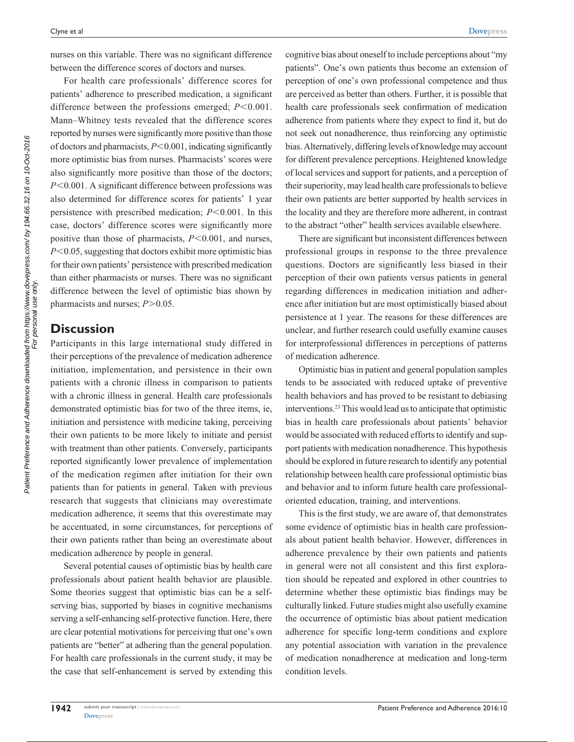nurses on this variable. There was no significant difference between the difference scores of doctors and nurses.

For health care professionals' difference scores for patients' adherence to prescribed medication, a significant difference between the professions emerged;  $P$ <0.001. Mann–Whitney tests revealed that the difference scores reported by nurses were significantly more positive than those of doctors and pharmacists,  $P \le 0.001$ , indicating significantly more optimistic bias from nurses. Pharmacists' scores were also significantly more positive than those of the doctors; *P*<0.001. A significant difference between professions was also determined for difference scores for patients' 1 year persistence with prescribed medication;  $P \le 0.001$ . In this case, doctors' difference scores were significantly more positive than those of pharmacists,  $P \le 0.001$ , and nurses,  $P<0.05$ , suggesting that doctors exhibit more optimistic bias for their own patients' persistence with prescribed medication than either pharmacists or nurses. There was no significant difference between the level of optimistic bias shown by pharmacists and nurses;  $P > 0.05$ .

### **Discussion**

Participants in this large international study differed in their perceptions of the prevalence of medication adherence initiation, implementation, and persistence in their own patients with a chronic illness in comparison to patients with a chronic illness in general. Health care professionals demonstrated optimistic bias for two of the three items, ie, initiation and persistence with medicine taking, perceiving their own patients to be more likely to initiate and persist with treatment than other patients. Conversely, participants reported significantly lower prevalence of implementation of the medication regimen after initiation for their own patients than for patients in general. Taken with previous research that suggests that clinicians may overestimate medication adherence, it seems that this overestimate may be accentuated, in some circumstances, for perceptions of their own patients rather than being an overestimate about medication adherence by people in general.

Several potential causes of optimistic bias by health care professionals about patient health behavior are plausible. Some theories suggest that optimistic bias can be a selfserving bias, supported by biases in cognitive mechanisms serving a self-enhancing self-protective function. Here, there are clear potential motivations for perceiving that one's own patients are "better" at adhering than the general population. For health care professionals in the current study, it may be the case that self-enhancement is served by extending this cognitive bias about oneself to include perceptions about "my patients". One's own patients thus become an extension of perception of one's own professional competence and thus are perceived as better than others. Further, it is possible that health care professionals seek confirmation of medication adherence from patients where they expect to find it, but do not seek out nonadherence, thus reinforcing any optimistic bias. Alternatively, differing levels of knowledge may account for different prevalence perceptions. Heightened knowledge of local services and support for patients, and a perception of their superiority, may lead health care professionals to believe their own patients are better supported by health services in the locality and they are therefore more adherent, in contrast to the abstract "other" health services available elsewhere.

There are significant but inconsistent differences between professional groups in response to the three prevalence questions. Doctors are significantly less biased in their perception of their own patients versus patients in general regarding differences in medication initiation and adherence after initiation but are most optimistically biased about persistence at 1 year. The reasons for these differences are unclear, and further research could usefully examine causes for interprofessional differences in perceptions of patterns of medication adherence.

Optimistic bias in patient and general population samples tends to be associated with reduced uptake of preventive health behaviors and has proved to be resistant to debiasing interventions.23 This would lead us to anticipate that optimistic bias in health care professionals about patients' behavior would be associated with reduced efforts to identify and support patients with medication nonadherence. This hypothesis should be explored in future research to identify any potential relationship between health care professional optimistic bias and behavior and to inform future health care professionaloriented education, training, and interventions.

This is the first study, we are aware of, that demonstrates some evidence of optimistic bias in health care professionals about patient health behavior. However, differences in adherence prevalence by their own patients and patients in general were not all consistent and this first exploration should be repeated and explored in other countries to determine whether these optimistic bias findings may be culturally linked. Future studies might also usefully examine the occurrence of optimistic bias about patient medication adherence for specific long-term conditions and explore any potential association with variation in the prevalence of medication nonadherence at medication and long-term condition levels.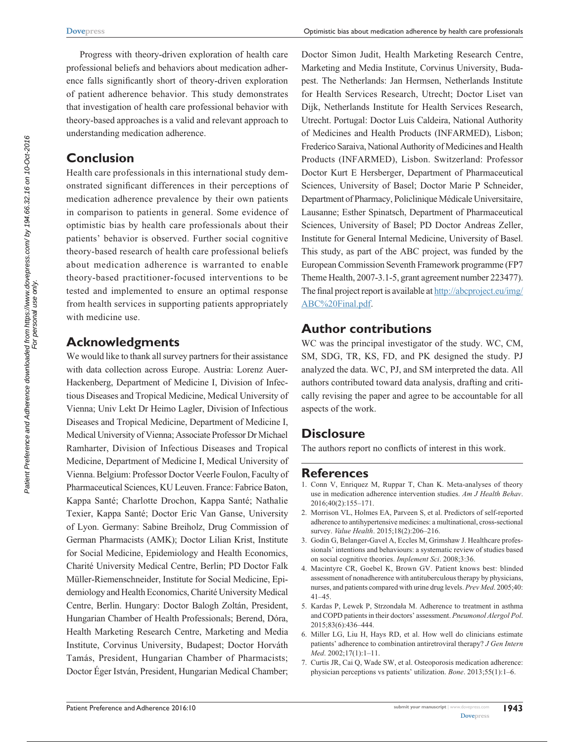Progress with theory-driven exploration of health care professional beliefs and behaviors about medication adherence falls significantly short of theory-driven exploration of patient adherence behavior. This study demonstrates that investigation of health care professional behavior with theory-based approaches is a valid and relevant approach to understanding medication adherence.

# **Conclusion**

Health care professionals in this international study demonstrated significant differences in their perceptions of medication adherence prevalence by their own patients in comparison to patients in general. Some evidence of optimistic bias by health care professionals about their patients' behavior is observed. Further social cognitive theory-based research of health care professional beliefs about medication adherence is warranted to enable theory-based practitioner-focused interventions to be tested and implemented to ensure an optimal response from health services in supporting patients appropriately with medicine use.

# **Acknowledgments**

We would like to thank all survey partners for their assistance with data collection across Europe. Austria: Lorenz Auer-Hackenberg, Department of Medicine I, Division of Infectious Diseases and Tropical Medicine, Medical University of Vienna; Univ Lekt Dr Heimo Lagler, Division of Infectious Diseases and Tropical Medicine, Department of Medicine I, Medical University of Vienna; Associate Professor Dr Michael Ramharter, Division of Infectious Diseases and Tropical Medicine, Department of Medicine I, Medical University of Vienna. Belgium: Professor Doctor Veerle Foulon, Faculty of Pharmaceutical Sciences, KU Leuven. France: Fabrice Baton, Kappa Santé; Charlotte Drochon, Kappa Santé; Nathalie Texier, Kappa Santé; Doctor Eric Van Ganse, University of Lyon. Germany: Sabine Breiholz, Drug Commission of German Pharmacists (AMK); Doctor Lilian Krist, Institute for Social Medicine, Epidemiology and Health Economics, Charité University Medical Centre, Berlin; PD Doctor Falk Müller-Riemenschneider, Institute for Social Medicine, Epidemiology and Health Economics, Charité University Medical Centre, Berlin. Hungary: Doctor Balogh Zoltán, President, Hungarian Chamber of Health Professionals; Berend, Dóra, Health Marketing Research Centre, Marketing and Media Institute, Corvinus University, Budapest; Doctor Horváth Tamás, President, Hungarian Chamber of Pharmacists; Doctor Éger István, President, Hungarian Medical Chamber; Doctor Simon Judit, Health Marketing Research Centre, Marketing and Media Institute, Corvinus University, Budapest. The Netherlands: Jan Hermsen, Netherlands Institute for Health Services Research, Utrecht; Doctor Liset van Dijk, Netherlands Institute for Health Services Research, Utrecht. Portugal: Doctor Luis Caldeira, National Authority of Medicines and Health Products (INFARMED), Lisbon; Frederico Saraiva, National Authority of Medicines and Health Products (INFARMED), Lisbon. Switzerland: Professor Doctor Kurt E Hersberger, Department of Pharmaceutical Sciences, University of Basel; Doctor Marie P Schneider, Department of Pharmacy, Policlinique Médicale Universitaire, Lausanne; Esther Spinatsch, Department of Pharmaceutical Sciences, University of Basel; PD Doctor Andreas Zeller, Institute for General Internal Medicine, University of Basel. This study, as part of the ABC project, was funded by the European Commission Seventh Framework programme (FP7 Theme Health, 2007-3.1-5, grant agreement number 223477). The final project report is available at [http://abcproject.eu/img/](http://abcproject.eu/img/ABC%20Final.pdf) [ABC%20Final.pdf.](http://abcproject.eu/img/ABC%20Final.pdf)

# **Author contributions**

WC was the principal investigator of the study. WC, CM, SM, SDG, TR, KS, FD, and PK designed the study. PJ analyzed the data. WC, PJ, and SM interpreted the data. All authors contributed toward data analysis, drafting and critically revising the paper and agree to be accountable for all aspects of the work.

# **Disclosure**

The authors report no conflicts of interest in this work.

# **References**

- 1. Conn V, Enriquez M, Ruppar T, Chan K. Meta-analyses of theory use in medication adherence intervention studies. *Am J Health Behav*. 2016;40(2):155–171.
- 2. Morrison VL, Holmes EA, Parveen S, et al. Predictors of self-reported adherence to antihypertensive medicines: a multinational, cross-sectional survey. *Value Health*. 2015;18(2):206–216.
- 3. Godin G, Belanger-Gavel A, Eccles M, Grimshaw J. Healthcare professionals' intentions and behaviours: a systematic review of studies based on social cognitive theories. *Implement Sci*. 2008;3:36.
- 4. Macintyre CR, Goebel K, Brown GV. Patient knows best: blinded assessment of nonadherence with antituberculous therapy by physicians, nurses, and patients compared with urine drug levels. *Prev Med*. 2005;40: 41–45.
- 5. Kardas P, Lewek P, Strzondała M. Adherence to treatment in asthma and COPD patients in their doctors' assessment. *Pneumonol Alergol Pol*. 2015;83(6):436–444.
- 6. Miller LG, Liu H, Hays RD, et al. How well do clinicians estimate patients' adherence to combination antiretroviral therapy? *J Gen Intern Med*. 2002;17(1):1–11.
- 7. Curtis JR, Cai Q, Wade SW, et al. Osteoporosis medication adherence: physician perceptions vs patients' utilization. *Bone*. 2013;55(1):1–6.